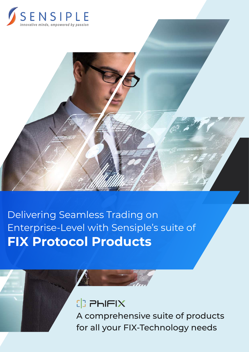



Delivering Seamless Trading on Enterprise-Level with Sensiple's suite of **FIX Protocol Products**



A comprehensive suite of products for all your FIX-Technology needs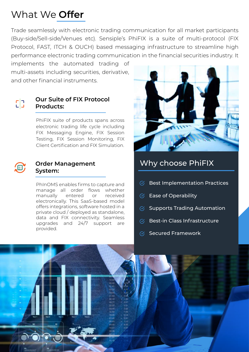## What We **Offer**

Trade seamlessly with electronic trading communication for all market participants (Buy-side/Sell-side/Venues etc). Sensiple's PhiFIX is a suite of multi-protocol (FIX Protocol, FAST, ITCH & OUCH) based messaging infrastructure to streamline high performance electronic trading communication in the financial securities industry. It

implements the automated trading of multi-assets including securities, derivative, and other financial instruments.



#### **Our Suite of FIX Protocol Products:**

PhiFIX suite of products spans across electronic trading life cycle including FIX Messaging Engine, FIX Session Testing, FIX Session Monitoring, FIX Client Certification and FIX Simulation.



#### **Order Management System:**

PhInOMS enables firms to capture and manage all order flows whether manually entered or received electronically. This SaaS-based model offers integrations, software hosted in a private cloud / deployed as standalone, data and FIX connectivity. Seamless upgrades and 24/7 support are provided.



## Why choose PhiFIX

- Best Implementation Practices  $\mathcal{C}_{I}$
- $\heartsuit$  Ease of Operability
- Supports Trading Automation
- $\heartsuit$  Best-in Class Infrastructure
- $\heartsuit$  Secured Framework

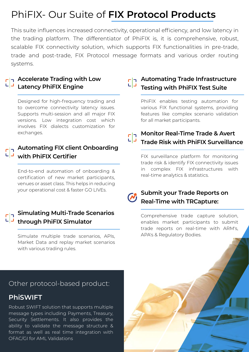# PhiFIX- Our Suite of **FIX Protocol Products**

This suite influences increased connectivity, operational efficiency, and low latency in the trading platform. The differentiator of PhiFIX is, it is comprehensive, robust, scalable FIX connectivity solution, which supports FIX functionalities in pre-trade, trade and post-trade, FIX Protocol message formats and various order routing systems.

#### **Accelerate Trading with Low Latency PhiFIX Engine**

Designed for high-frequency trading and to overcome connectivity latency issues. Supports multi-session and all major FIX versions. Low integration cost which involves FIX dialects customization for exchanges.

## **Automating FIX client Onboarding with PhiFIX Certifier**

End-to-end automation of onboarding & certification of new market participants, venues or asset class. This helps in reducing your operational cost & faster GO LIVEs.

#### **Simulating Multi-Trade Scenarios through PhiFIX Simulator**

Simulate multiple trade scenarios, APIs, Market Data and replay market scenarios with various trading rules.

### **Automating Trade Infrastructure Testing with PhiFIX Test Suite**

PhiFIX enables testing automation for various FIX functional systems, providing features like complex scenario validation for all market participants.

## **Monitor Real-Time Trade & Avert Trade Risk with PhiFIX Surveillance**

FIX surveillance platform for monitoring trade risk & identify FIX connectivity issues in complex FIX infrastructures with real-time analytics & statistics.



#### **Submit your Trade Reports on Real-Time with TRCapture:**

Comprehensive trade capture solution, enables market participants to submit trade reports on real-time with ARM's, APA's & Regulatory Bodies.

#### Other protocol-based product:

### **PhiSWIFT**

Robust SWIFT solution that supports multiple message types including Payments, Treasury, Security Settlements. It also provides the ability to validate the message structure & format as well as real time integration with OFAC/GI for AML Validations